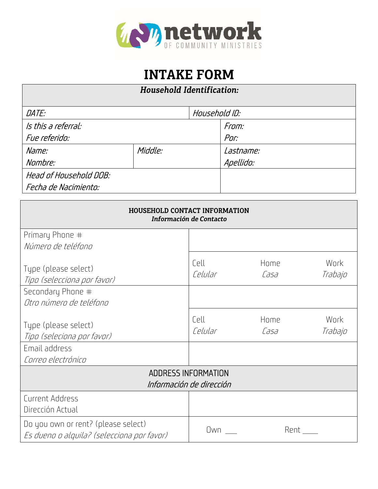

## **INTAKE FORM**

## Household Identification:

| DATE:                  |         | Household ID: |           |
|------------------------|---------|---------------|-----------|
| Is this a referral:    |         |               | From:     |
| Fue referido:          |         |               | Por:      |
| Name:                  | Middle: |               | Lastname: |
| Nombre:                |         |               | Apellido: |
| Head of Household DOB: |         |               |           |
| Fecha de Nacimiento:   |         |               |           |

| <b>HOUSEHOLD CONTACT INFORMATION</b><br>Información de Contacto                   |                 |              |                 |  |  |  |  |
|-----------------------------------------------------------------------------------|-----------------|--------------|-----------------|--|--|--|--|
| Primary Phone #                                                                   |                 |              |                 |  |  |  |  |
| Número de teléfono                                                                |                 |              |                 |  |  |  |  |
| Type (please select)<br>Tipo (selecciona por favor)                               | Cell<br>Celular | Home<br>Casa | Work<br>Trabajo |  |  |  |  |
| Secondary Phone #                                                                 |                 |              |                 |  |  |  |  |
| Otro número de teléfono                                                           |                 |              |                 |  |  |  |  |
| Type (please select)<br>Tipo (seleciona por favor)                                | Cell<br>Celular | Home<br>Casa | Work<br>Trabajo |  |  |  |  |
| Email address                                                                     |                 |              |                 |  |  |  |  |
| Correo electrónico                                                                |                 |              |                 |  |  |  |  |
| ADDRESS INFORMATION                                                               |                 |              |                 |  |  |  |  |
| Información de dirección                                                          |                 |              |                 |  |  |  |  |
| Current Address<br>Dirección Actual                                               |                 |              |                 |  |  |  |  |
| Do you own or rent? (please select)<br>Es dueno o alguila? (selecciona por favor) | Own             | Rent         |                 |  |  |  |  |